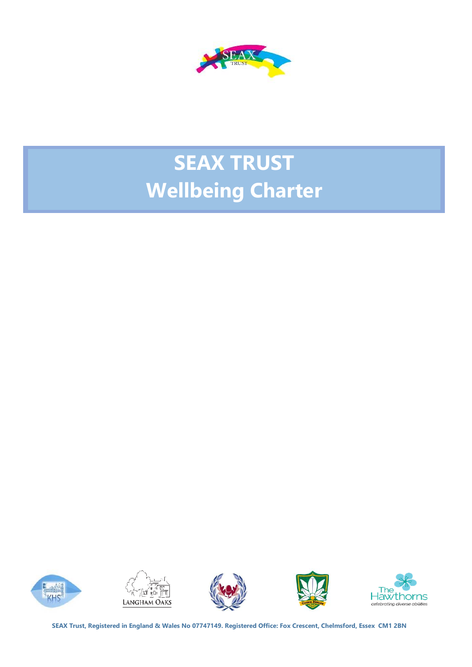

# **SEAX TRUST Wellbeing Charter**











**SEAX Trust, Registered in England & Wales No 07747149. Registered Office: Fox Crescent, Chelmsford, Essex CM1 2BN**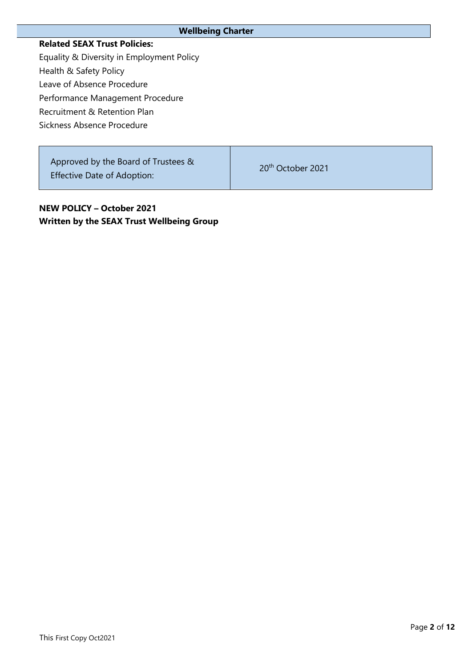| <b>Wellbeing Charter</b>                                                  |                               |  |
|---------------------------------------------------------------------------|-------------------------------|--|
| <b>Related SEAX Trust Policies:</b>                                       |                               |  |
| Equality & Diversity in Employment Policy                                 |                               |  |
| Health & Safety Policy                                                    |                               |  |
| Leave of Absence Procedure                                                |                               |  |
| Performance Management Procedure                                          |                               |  |
| Recruitment & Retention Plan                                              |                               |  |
| Sickness Absence Procedure                                                |                               |  |
|                                                                           |                               |  |
| Approved by the Board of Trustees &<br><b>Effective Date of Adoption:</b> | 20 <sup>th</sup> October 2021 |  |

**NEW POLICY – October 2021 Written by the SEAX Trust Wellbeing Group**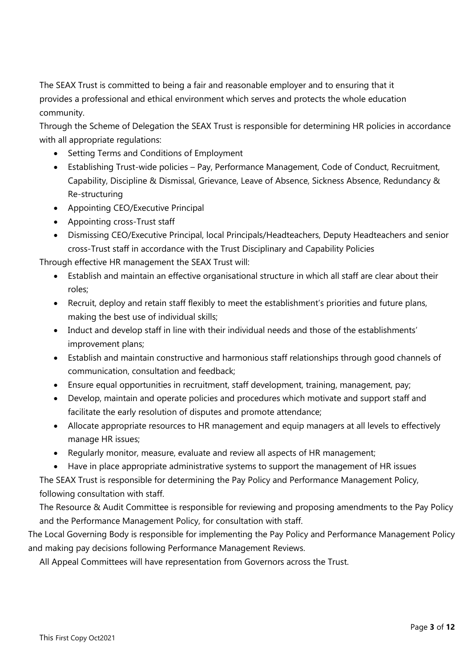The SEAX Trust is committed to being a fair and reasonable employer and to ensuring that it provides a professional and ethical environment which serves and protects the whole education community.

Through the Scheme of Delegation the SEAX Trust is responsible for determining HR policies in accordance with all appropriate regulations:

- Setting Terms and Conditions of Employment
- Establishing Trust-wide policies Pay, Performance Management, Code of Conduct, Recruitment, Capability, Discipline & Dismissal, Grievance, Leave of Absence, Sickness Absence, Redundancy & Re-structuring
- Appointing CEO/Executive Principal
- Appointing cross-Trust staff
- Dismissing CEO/Executive Principal, local Principals/Headteachers, Deputy Headteachers and senior cross-Trust staff in accordance with the Trust Disciplinary and Capability Policies

Through effective HR management the SEAX Trust will:

- Establish and maintain an effective organisational structure in which all staff are clear about their roles;
- Recruit, deploy and retain staff flexibly to meet the establishment's priorities and future plans, making the best use of individual skills;
- Induct and develop staff in line with their individual needs and those of the establishments' improvement plans;
- Establish and maintain constructive and harmonious staff relationships through good channels of communication, consultation and feedback;
- Ensure equal opportunities in recruitment, staff development, training, management, pay;
- Develop, maintain and operate policies and procedures which motivate and support staff and facilitate the early resolution of disputes and promote attendance;
- Allocate appropriate resources to HR management and equip managers at all levels to effectively manage HR issues;
- Regularly monitor, measure, evaluate and review all aspects of HR management;
- Have in place appropriate administrative systems to support the management of HR issues

The SEAX Trust is responsible for determining the Pay Policy and Performance Management Policy, following consultation with staff.

The Resource & Audit Committee is responsible for reviewing and proposing amendments to the Pay Policy and the Performance Management Policy, for consultation with staff.

The Local Governing Body is responsible for implementing the Pay Policy and Performance Management Policy and making pay decisions following Performance Management Reviews.

All Appeal Committees will have representation from Governors across the Trust.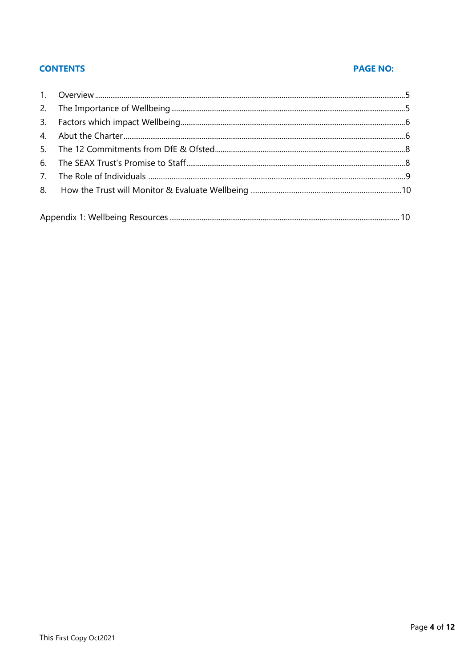# **CONTENTS**

# **PAGE NO:**

| $\overline{4}$                 |  |
|--------------------------------|--|
|                                |  |
|                                |  |
| $7_{\scriptscriptstyle{\sim}}$ |  |
|                                |  |
|                                |  |
|                                |  |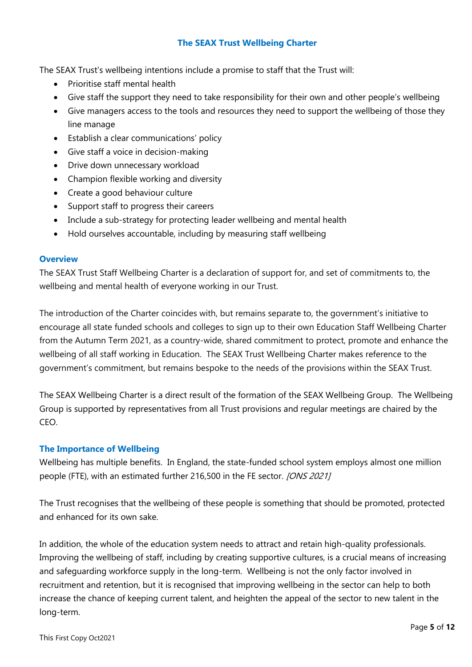# **The SEAX Trust Wellbeing Charter**

The SEAX Trust's wellbeing intentions include a promise to staff that the Trust will:

- Prioritise staff mental health
- Give staff the support they need to take responsibility for their own and other people's wellbeing
- Give managers access to the tools and resources they need to support the wellbeing of those they line manage
- Establish a clear communications' policy
- Give staff a voice in decision-making
- Drive down unnecessary workload
- Champion flexible working and diversity
- Create a good behaviour culture
- Support staff to progress their careers
- Include a sub-strategy for protecting leader wellbeing and mental health
- Hold ourselves accountable, including by measuring staff wellbeing

### **Overview**

The SEAX Trust Staff Wellbeing Charter is a declaration of support for, and set of commitments to, the wellbeing and mental health of everyone working in our Trust.

The introduction of the Charter coincides with, but remains separate to, the government's initiative to encourage all state funded schools and colleges to sign up to their own Education Staff Wellbeing Charter from the Autumn Term 2021, as a country-wide, shared commitment to protect, promote and enhance the wellbeing of all staff working in Education. The SEAX Trust Wellbeing Charter makes reference to the government's commitment, but remains bespoke to the needs of the provisions within the SEAX Trust.

The SEAX Wellbeing Charter is a direct result of the formation of the SEAX Wellbeing Group. The Wellbeing Group is supported by representatives from all Trust provisions and regular meetings are chaired by the CEO.

# **The Importance of Wellbeing**

Wellbeing has multiple benefits. In England, the state-funded school system employs almost one million people (FTE), with an estimated further 216,500 in the FE sector. [ONS 2021]

The Trust recognises that the wellbeing of these people is something that should be promoted, protected and enhanced for its own sake.

In addition, the whole of the education system needs to attract and retain high-quality professionals. Improving the wellbeing of staff, including by creating supportive cultures, is a crucial means of increasing and safeguarding workforce supply in the long-term. Wellbeing is not the only factor involved in recruitment and retention, but it is recognised that improving wellbeing in the sector can help to both increase the chance of keeping current talent, and heighten the appeal of the sector to new talent in the long-term.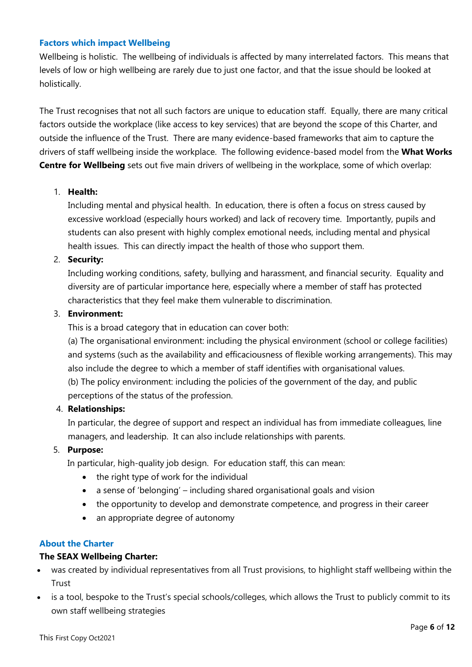### **Factors which impact Wellbeing**

Wellbeing is holistic. The wellbeing of individuals is affected by many interrelated factors. This means that levels of low or high wellbeing are rarely due to just one factor, and that the issue should be looked at holistically.

The Trust recognises that not all such factors are unique to education staff. Equally, there are many critical factors outside the workplace (like access to key services) that are beyond the scope of this Charter, and outside the influence of the Trust. There are many evidence-based frameworks that aim to capture the drivers of staff wellbeing inside the workplace. The following evidence-based model from the **What Works Centre for Wellbeing** sets out five main drivers of wellbeing in the workplace, some of which overlap:

# 1. **Health:**

Including mental and physical health. In education, there is often a focus on stress caused by excessive workload (especially hours worked) and lack of recovery time. Importantly, pupils and students can also present with highly complex emotional needs, including mental and physical health issues. This can directly impact the health of those who support them.

## 2. **Security:**

Including working conditions, safety, bullying and harassment, and financial security. Equality and diversity are of particular importance here, especially where a member of staff has protected characteristics that they feel make them vulnerable to discrimination.

## 3. **Environment:**

This is a broad category that in education can cover both:

(a) The organisational environment: including the physical environment (school or college facilities) and systems (such as the availability and efficaciousness of flexible working arrangements). This may also include the degree to which a member of staff identifies with organisational values.

(b) The policy environment: including the policies of the government of the day, and public perceptions of the status of the profession.

### 4. **Relationships:**

In particular, the degree of support and respect an individual has from immediate colleagues, line managers, and leadership. It can also include relationships with parents.

# 5. **Purpose:**

In particular, high-quality job design. For education staff, this can mean:

- the right type of work for the individual
- a sense of 'belonging' including shared organisational goals and vision
- the opportunity to develop and demonstrate competence, and progress in their career
- an appropriate degree of autonomy

## **About the Charter**

### **The SEAX Wellbeing Charter:**

- was created by individual representatives from all Trust provisions, to highlight staff wellbeing within the **Trust**
- is a tool, bespoke to the Trust's special schools/colleges, which allows the Trust to publicly commit to its own staff wellbeing strategies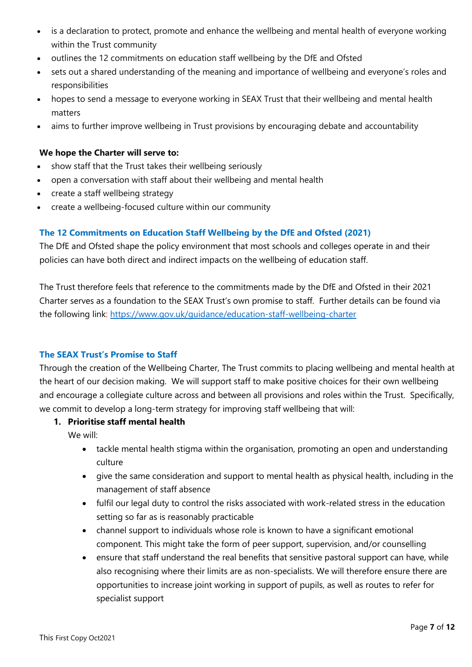- is a declaration to protect, promote and enhance the wellbeing and mental health of everyone working within the Trust community
- outlines the 12 commitments on education staff wellbeing by the DfE and Ofsted
- sets out a shared understanding of the meaning and importance of wellbeing and everyone's roles and responsibilities
- hopes to send a message to everyone working in SEAX Trust that their wellbeing and mental health matters
- aims to further improve wellbeing in Trust provisions by encouraging debate and accountability

## **We hope the Charter will serve to:**

- show staff that the Trust takes their wellbeing seriously
- open a conversation with staff about their wellbeing and mental health
- create a staff wellbeing strategy
- create a wellbeing-focused culture within our community

# **The 12 Commitments on Education Staff Wellbeing by the DfE and Ofsted (2021)**

The DfE and Ofsted shape the policy environment that most schools and colleges operate in and their policies can have both direct and indirect impacts on the wellbeing of education staff.

The Trust therefore feels that reference to the commitments made by the DfE and Ofsted in their 2021 Charter serves as a foundation to the SEAX Trust's own promise to staff. Further details can be found via the following link:<https://www.gov.uk/guidance/education-staff-wellbeing-charter>

# **The SEAX Trust's Promise to Staff**

Through the creation of the Wellbeing Charter, The Trust commits to placing wellbeing and mental health at the heart of our decision making. We will support staff to make positive choices for their own wellbeing and encourage a collegiate culture across and between all provisions and roles within the Trust. Specifically, we commit to develop a long-term strategy for improving staff wellbeing that will:

## **1. Prioritise staff mental health**

We will:

- tackle mental health stigma within the organisation, promoting an open and understanding culture
- give the same consideration and support to mental health as physical health, including in the management of staff absence
- fulfil our legal duty to control the risks associated with work-related stress in the education setting so far as is reasonably practicable
- channel support to individuals whose role is known to have a significant emotional component. This might take the form of peer support, supervision, and/or counselling
- ensure that staff understand the real benefits that sensitive pastoral support can have, while also recognising where their limits are as non-specialists. We will therefore ensure there are opportunities to increase joint working in support of pupils, as well as routes to refer for specialist support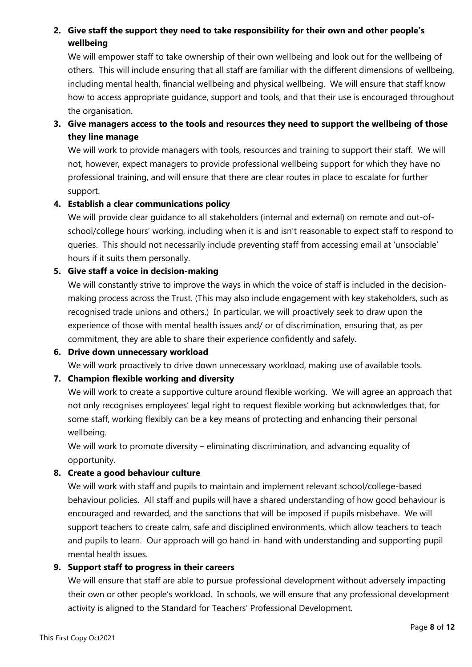# **2. Give staff the support they need to take responsibility for their own and other people's wellbeing**

We will empower staff to take ownership of their own wellbeing and look out for the wellbeing of others. This will include ensuring that all staff are familiar with the different dimensions of wellbeing, including mental health, financial wellbeing and physical wellbeing. We will ensure that staff know how to access appropriate guidance, support and tools, and that their use is encouraged throughout the organisation.

# **3. Give managers access to the tools and resources they need to support the wellbeing of those they line manage**

We will work to provide managers with tools, resources and training to support their staff. We will not, however, expect managers to provide professional wellbeing support for which they have no professional training, and will ensure that there are clear routes in place to escalate for further support.

# **4. Establish a clear communications policy**

We will provide clear guidance to all stakeholders (internal and external) on remote and out-ofschool/college hours' working, including when it is and isn't reasonable to expect staff to respond to queries. This should not necessarily include preventing staff from accessing email at 'unsociable' hours if it suits them personally.

# **5. Give staff a voice in decision-making**

We will constantly strive to improve the ways in which the voice of staff is included in the decisionmaking process across the Trust. (This may also include engagement with key stakeholders, such as recognised trade unions and others.) In particular, we will proactively seek to draw upon the experience of those with mental health issues and/ or of discrimination, ensuring that, as per commitment, they are able to share their experience confidently and safely.

# **6. Drive down unnecessary workload**

We will work proactively to drive down unnecessary workload, making use of available tools.

# **7. Champion flexible working and diversity**

We will work to create a supportive culture around flexible working. We will agree an approach that not only recognises employees' legal right to request flexible working but acknowledges that, for some staff, working flexibly can be a key means of protecting and enhancing their personal wellbeing.

We will work to promote diversity – eliminating discrimination, and advancing equality of opportunity.

# **8. Create a good behaviour culture**

We will work with staff and pupils to maintain and implement relevant school/college-based behaviour policies. All staff and pupils will have a shared understanding of how good behaviour is encouraged and rewarded, and the sanctions that will be imposed if pupils misbehave. We will support teachers to create calm, safe and disciplined environments, which allow teachers to teach and pupils to learn. Our approach will go hand-in-hand with understanding and supporting pupil mental health issues.

# **9. Support staff to progress in their careers**

We will ensure that staff are able to pursue professional development without adversely impacting their own or other people's workload. In schools, we will ensure that any professional development activity is aligned to the Standard for Teachers' Professional Development.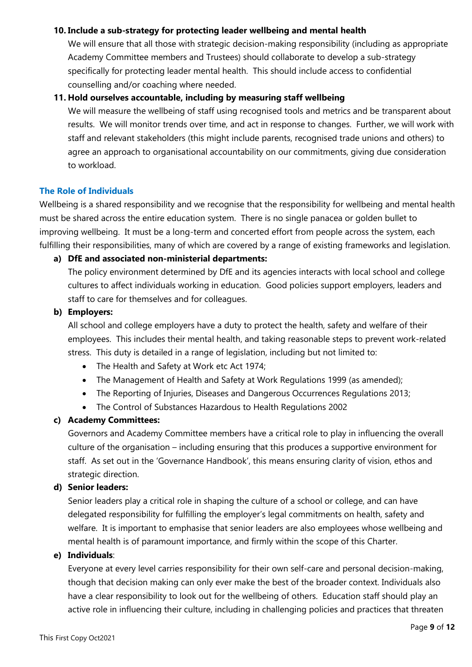## **10. Include a sub-strategy for protecting leader wellbeing and mental health**

We will ensure that all those with strategic decision-making responsibility (including as appropriate Academy Committee members and Trustees) should collaborate to develop a sub-strategy specifically for protecting leader mental health. This should include access to confidential counselling and/or coaching where needed.

# **11. Hold ourselves accountable, including by measuring staff wellbeing**

We will measure the wellbeing of staff using recognised tools and metrics and be transparent about results. We will monitor trends over time, and act in response to changes. Further, we will work with staff and relevant stakeholders (this might include parents, recognised trade unions and others) to agree an approach to organisational accountability on our commitments, giving due consideration to workload.

# **The Role of Individuals**

Wellbeing is a shared responsibility and we recognise that the responsibility for wellbeing and mental health must be shared across the entire education system. There is no single panacea or golden bullet to improving wellbeing. It must be a long-term and concerted effort from people across the system, each fulfilling their responsibilities, many of which are covered by a range of existing frameworks and legislation.

# **a) DfE and associated non-ministerial departments:**

The policy environment determined by DfE and its agencies interacts with local school and college cultures to affect individuals working in education. Good policies support employers, leaders and staff to care for themselves and for colleagues.

# **b) Employers:**

All school and college employers have a duty to protect the health, safety and welfare of their employees. This includes their mental health, and taking reasonable steps to prevent work-related stress. This duty is detailed in a range of legislation, including but not limited to:

- The Health and Safety at Work etc Act 1974;
- The Management of Health and Safety at Work Regulations 1999 (as amended);
- The Reporting of Injuries, Diseases and Dangerous Occurrences Regulations 2013;
- The Control of Substances Hazardous to Health Regulations 2002

# **c) Academy Committees:**

Governors and Academy Committee members have a critical role to play in influencing the overall culture of the organisation – including ensuring that this produces a supportive environment for staff. As set out in the 'Governance Handbook', this means ensuring clarity of vision, ethos and strategic direction.

# **d) Senior leaders:**

Senior leaders play a critical role in shaping the culture of a school or college, and can have delegated responsibility for fulfilling the employer's legal commitments on health, safety and welfare. It is important to emphasise that senior leaders are also employees whose wellbeing and mental health is of paramount importance, and firmly within the scope of this Charter.

# **e) Individuals**:

Everyone at every level carries responsibility for their own self-care and personal decision-making, though that decision making can only ever make the best of the broader context. Individuals also have a clear responsibility to look out for the wellbeing of others. Education staff should play an active role in influencing their culture, including in challenging policies and practices that threaten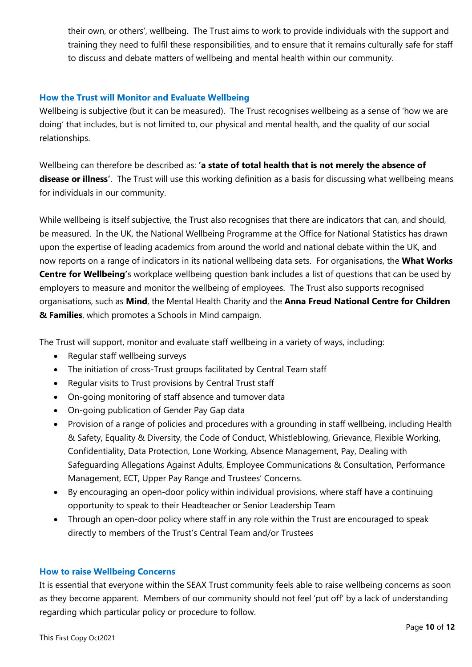their own, or others', wellbeing. The Trust aims to work to provide individuals with the support and training they need to fulfil these responsibilities, and to ensure that it remains culturally safe for staff to discuss and debate matters of wellbeing and mental health within our community.

## **How the Trust will Monitor and Evaluate Wellbeing**

Wellbeing is subjective (but it can be measured). The Trust recognises wellbeing as a sense of 'how we are doing' that includes, but is not limited to, our physical and mental health, and the quality of our social relationships.

Wellbeing can therefore be described as: **'a state of total health that is not merely the absence of disease or illness'**. The Trust will use this working definition as a basis for discussing what wellbeing means for individuals in our community.

While wellbeing is itself subjective, the Trust also recognises that there are indicators that can, and should, be measured. In the UK, the National Wellbeing Programme at the Office for National Statistics has drawn upon the expertise of leading academics from around the world and national debate within the UK, and now reports on a range of indicators in its national wellbeing data sets. For organisations, the **What Works Centre for Wellbeing'**s workplace wellbeing question bank includes a list of questions that can be used by employers to measure and monitor the wellbeing of employees. The Trust also supports recognised organisations, such as **Mind**, the Mental Health Charity and the **Anna Freud National Centre for Children & Families**, which promotes a Schools in Mind campaign.

The Trust will support, monitor and evaluate staff wellbeing in a variety of ways, including:

- Regular staff wellbeing surveys
- The initiation of cross-Trust groups facilitated by Central Team staff
- Regular visits to Trust provisions by Central Trust staff
- On-going monitoring of staff absence and turnover data
- On-going publication of Gender Pay Gap data
- Provision of a range of policies and procedures with a grounding in staff wellbeing, including Health & Safety, Equality & Diversity, the Code of Conduct, Whistleblowing, Grievance, Flexible Working, Confidentiality, Data Protection, Lone Working, Absence Management, Pay, Dealing with Safeguarding Allegations Against Adults, Employee Communications & Consultation, Performance Management, ECT, Upper Pay Range and Trustees' Concerns.
- By encouraging an open-door policy within individual provisions, where staff have a continuing opportunity to speak to their Headteacher or Senior Leadership Team
- Through an open-door policy where staff in any role within the Trust are encouraged to speak directly to members of the Trust's Central Team and/or Trustees

### **How to raise Wellbeing Concerns**

It is essential that everyone within the SEAX Trust community feels able to raise wellbeing concerns as soon as they become apparent. Members of our community should not feel 'put off' by a lack of understanding regarding which particular policy or procedure to follow.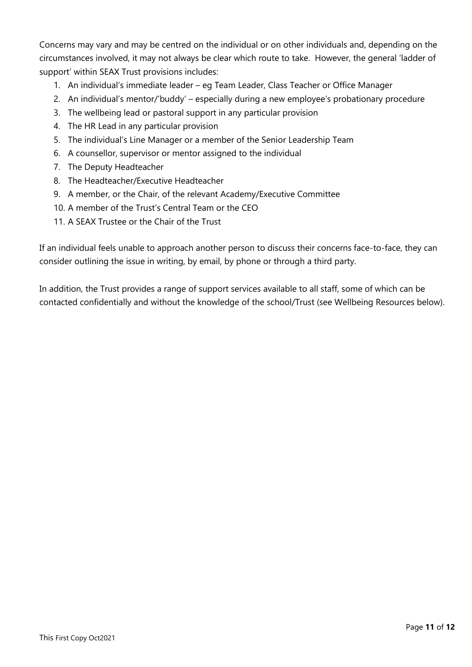Concerns may vary and may be centred on the individual or on other individuals and, depending on the circumstances involved, it may not always be clear which route to take. However, the general 'ladder of support' within SEAX Trust provisions includes:

- 1. An individual's immediate leader eg Team Leader, Class Teacher or Office Manager
- 2. An individual's mentor/'buddy' especially during a new employee's probationary procedure
- 3. The wellbeing lead or pastoral support in any particular provision
- 4. The HR Lead in any particular provision
- 5. The individual's Line Manager or a member of the Senior Leadership Team
- 6. A counsellor, supervisor or mentor assigned to the individual
- 7. The Deputy Headteacher
- 8. The Headteacher/Executive Headteacher
- 9. A member, or the Chair, of the relevant Academy/Executive Committee
- 10. A member of the Trust's Central Team or the CEO
- 11. A SEAX Trustee or the Chair of the Trust

If an individual feels unable to approach another person to discuss their concerns face-to-face, they can consider outlining the issue in writing, by email, by phone or through a third party.

In addition, the Trust provides a range of support services available to all staff, some of which can be contacted confidentially and without the knowledge of the school/Trust (see Wellbeing Resources below).